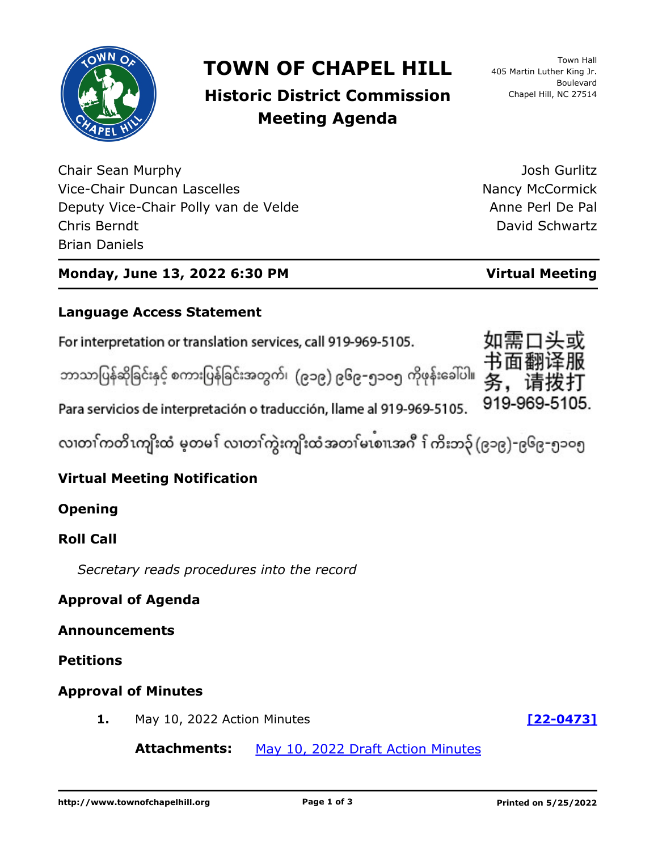

## **TOWN OF CHAPEL HILL**

## **Historic District Commission Meeting Agenda**

Chair Sean Murphy Vice-Chair Duncan Lascelles Deputy Vice-Chair Polly van de Velde Chris Berndt Brian Daniels

Josh Gurlitz Nancy McCormick Anne Perl De Pal David Schwartz

#### **Monday, June 13, 2022 6:30 PM Virtual Meeting**

# **Language Access Statement**

For interpretation or translation services, call 919-969-5105.

ဘာသာပြန်ဆိုခြင်းနှင့် စကားပြန်ခြင်းအတွက်၊ (၉၁၉) ၉၆၉-၅၁ဝ၅ ကိုဖုန်းခေါ်ပါ။

Para servicios de interpretación o traducción, llame al 919-969-5105.

လ၊တၢ်ကတိၤကျိးထံ မ့တမ႑် လ၊တၢ်ကွဲးကျိးထံအတၤ်မၤစၢ၊အဂီ ႑်ကိးဘ၃် (၉၁၉)-၉၆၉-၅၁၀၅

### **Virtual Meeting Notification**

#### **Opening**

#### **Roll Call**

*Secretary reads procedures into the record*

#### **Approval of Agenda**

#### **Announcements**

#### **Petitions**

#### **Approval of Minutes**

**1.** May 10, 2022 Action Minutes **[\[22-0473\]](http://chapelhill.legistar.com/gateway.aspx?m=l&id=/matter.aspx?key=8044)**

Attachments: [May 10, 2022 Draft Action Minutes](http://chapelhill.legistar.com/gateway.aspx?M=F&ID=71a70b82-0f91-4814-8e7b-0906d4309b30.pdf)

919-969-5105.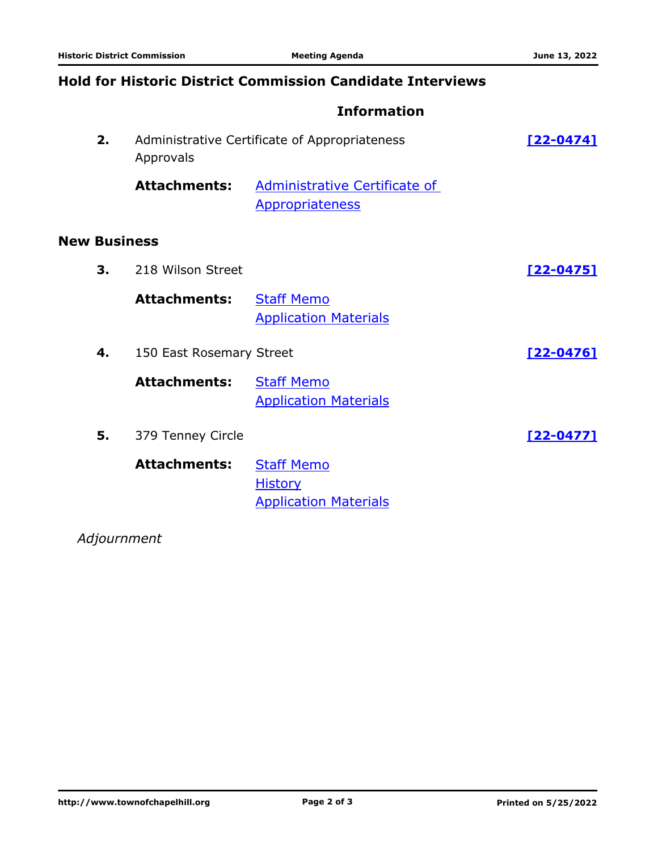#### **Hold for Historic District Commission Candidate Interviews**

#### **Information**

|                     | 2. | Administrative Certificate of Appropriateness<br>Approvals |                                                                     | $[22 - 0474]$    |
|---------------------|----|------------------------------------------------------------|---------------------------------------------------------------------|------------------|
|                     |    | <b>Attachments:</b>                                        | Administrative Certificate of<br><b>Appropriateness</b>             |                  |
| <b>New Business</b> |    |                                                            |                                                                     |                  |
|                     | 3. | 218 Wilson Street                                          |                                                                     | <u>[22-0475]</u> |
|                     |    | <b>Attachments:</b>                                        | <b>Staff Memo</b><br><b>Application Materials</b>                   |                  |
|                     | 4. | 150 East Rosemary Street                                   |                                                                     | $[22 - 0476]$    |
|                     |    | <b>Attachments:</b>                                        | <b>Staff Memo</b><br><b>Application Materials</b>                   |                  |
|                     | 5. | 379 Tenney Circle                                          |                                                                     | $[22 - 0477]$    |
|                     |    | <b>Attachments:</b>                                        | <b>Staff Memo</b><br><b>History</b><br><b>Application Materials</b> |                  |

*Adjournment*